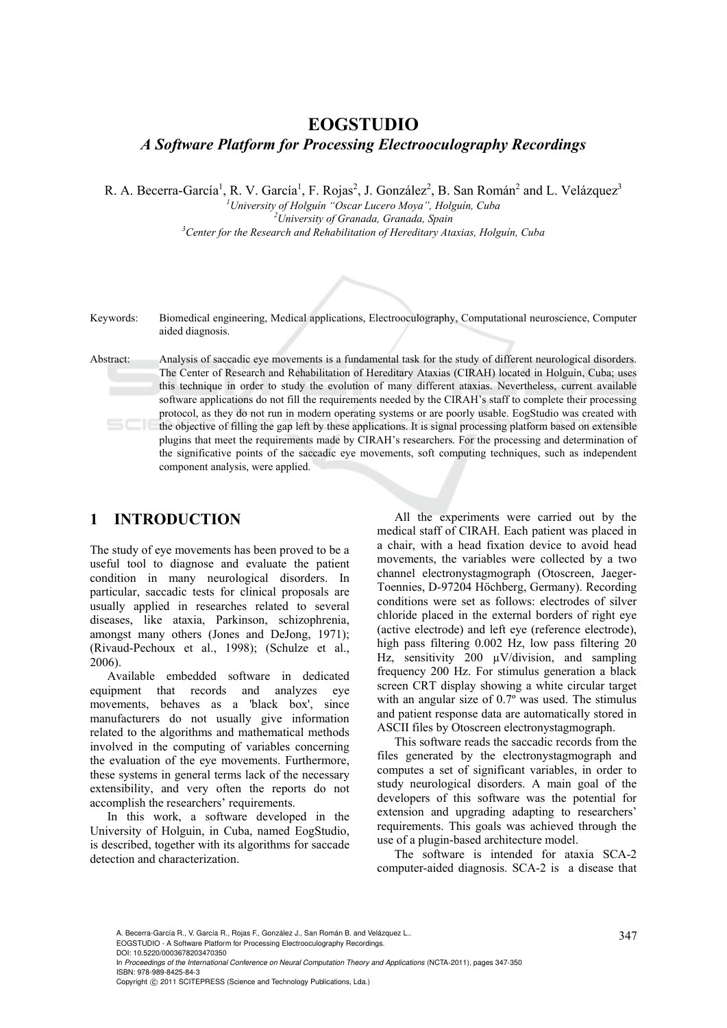# **EOGSTUDIO**  *A Software Platform for Processing Electrooculography Recordings*

R. A. Becerra-García<sup>1</sup>, R. V. García<sup>1</sup>, F. Rojas<sup>2</sup>, J. González<sup>2</sup>, B. San Román<sup>2</sup> and L. Velázquez<sup>3</sup>

*1 University of Holguín "Oscar Lucero Moya", Holguín, Cuba 2 University of Granada, Granada, Spain 3 Center for the Research and Rehabilitation of Hereditary Ataxias, Holguín, Cuba* 



Keywords: Biomedical engineering, Medical applications, Electrooculography, Computational neuroscience, Computer aided diagnosis.

Abstract: Analysis of saccadic eye movements is a fundamental task for the study of different neurological disorders. The Center of Research and Rehabilitation of Hereditary Ataxias (CIRAH) located in Holguín, Cuba; uses this technique in order to study the evolution of many different ataxias. Nevertheless, current available software applications do not fill the requirements needed by the CIRAH's staff to complete their processing protocol, as they do not run in modern operating systems or are poorly usable. EogStudio was created with the objective of filling the gap left by these applications. It is signal processing platform based on extensible plugins that meet the requirements made by CIRAH's researchers. For the processing and determination of the significative points of the saccadic eye movements, soft computing techniques, such as independent component analysis, were applied.

## **1 INTRODUCTION**

The study of eye movements has been proved to be a useful tool to diagnose and evaluate the patient condition in many neurological disorders. In particular, saccadic tests for clinical proposals are usually applied in researches related to several diseases, like ataxia, Parkinson, schizophrenia, amongst many others (Jones and DeJong, 1971); (Rivaud-Pechoux et al., 1998); (Schulze et al., 2006).

Available embedded software in dedicated equipment that records and analyzes eye movements, behaves as a 'black box', since manufacturers do not usually give information related to the algorithms and mathematical methods involved in the computing of variables concerning the evaluation of the eye movements. Furthermore, these systems in general terms lack of the necessary extensibility, and very often the reports do not accomplish the researchers' requirements.

In this work, a software developed in the University of Holguin, in Cuba, named EogStudio, is described, together with its algorithms for saccade detection and characterization.

All the experiments were carried out by the medical staff of CIRAH. Each patient was placed in a chair, with a head fixation device to avoid head movements, the variables were collected by a two channel electronystagmograph (Otoscreen, Jaeger-Toennies, D-97204 Höchberg, Germany). Recording conditions were set as follows: electrodes of silver chloride placed in the external borders of right eye (active electrode) and left eye (reference electrode), high pass filtering 0.002 Hz, low pass filtering 20 Hz, sensitivity 200  $\mu$ V/division, and sampling frequency 200 Hz. For stimulus generation a black screen CRT display showing a white circular target with an angular size of 0.7º was used. The stimulus and patient response data are automatically stored in ASCII files by Otoscreen electronystagmograph.

This software reads the saccadic records from the files generated by the electronystagmograph and computes a set of significant variables, in order to study neurological disorders. A main goal of the developers of this software was the potential for extension and upgrading adapting to researchers' requirements. This goals was achieved through the use of a plugin-based architecture model.

The software is intended for ataxia SCA-2 computer-aided diagnosis. SCA-2 is a disease that

A. Becerra-García R., V. García R., Rojas F., González J., San Román B. and Velázquez L..<br>EOGSTUDIO - A Software Platform for Processing Electrooculography Recordings.

DOI: 10.5220/0003678203470350

In *Proceedings of the International Conference on Neural Computation Theory and Applications* (NCTA-2011), pages 347-350 ISBN: 978-989-8425-84-3

Copyright © 2011 SCITEPRESS (Science and Technology Publications, Lda.)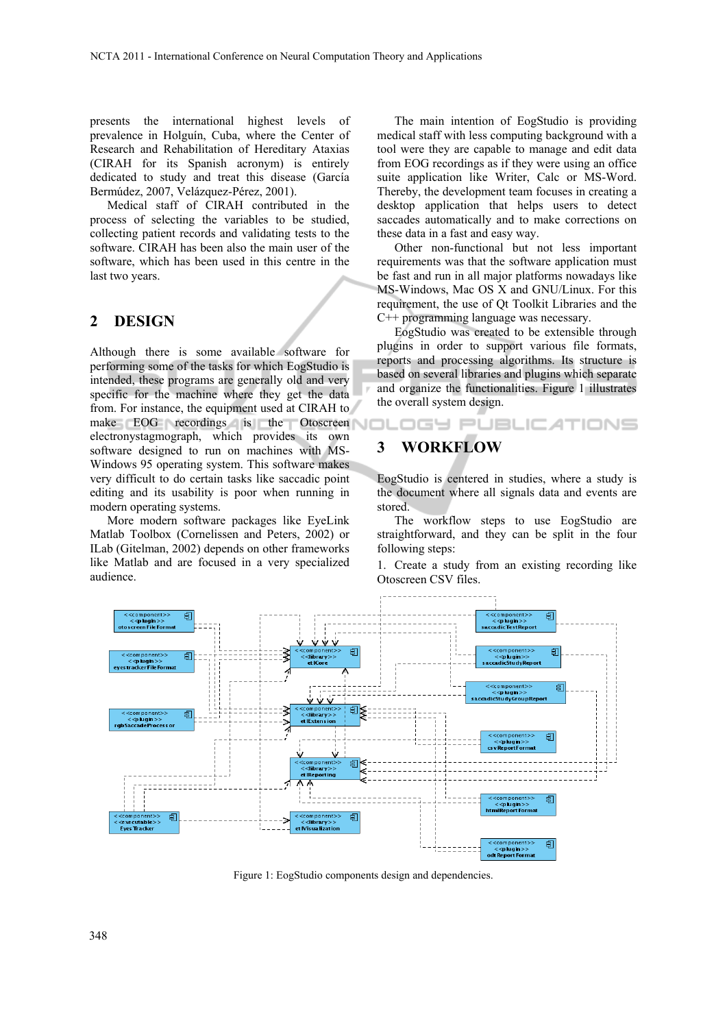presents the international highest levels of prevalence in Holguín, Cuba, where the Center of Research and Rehabilitation of Hereditary Ataxias (CIRAH for its Spanish acronym) is entirely dedicated to study and treat this disease (García Bermúdez, 2007, Velázquez-Pérez, 2001).

Medical staff of CIRAH contributed in the process of selecting the variables to be studied, collecting patient records and validating tests to the software. CIRAH has been also the main user of the software, which has been used in this centre in the last two years.

#### **2 DESIGN**

Although there is some available software for performing some of the tasks for which EogStudio is intended, these programs are generally old and very specific for the machine where they get the data from. For instance, the equipment used at CIRAH to make EOG recordings is the Otoscreen electronystagmograph, which provides its own software designed to run on machines with MS-Windows 95 operating system. This software makes very difficult to do certain tasks like saccadic point editing and its usability is poor when running in modern operating systems.

More modern software packages like EyeLink Matlab Toolbox (Cornelissen and Peters, 2002) or ILab (Gitelman, 2002) depends on other frameworks like Matlab and are focused in a very specialized audience.

The main intention of EogStudio is providing medical staff with less computing background with a tool were they are capable to manage and edit data from EOG recordings as if they were using an office suite application like Writer, Calc or MS-Word. Thereby, the development team focuses in creating a desktop application that helps users to detect saccades automatically and to make corrections on these data in a fast and easy way.

Other non-functional but not less important requirements was that the software application must be fast and run in all major platforms nowadays like MS-Windows, Mac OS X and GNU/Linux. For this requirement, the use of Qt Toolkit Libraries and the C++ programming language was necessary.

EogStudio was created to be extensible through plugins in order to support various file formats, reports and processing algorithms. Its structure is based on several libraries and plugins which separate and organize the functionalities. Figure 1 illustrates the overall system design.

DGY PUBLIC ATIONS

## **3 WORKFLOW**

EogStudio is centered in studies, where a study is the document where all signals data and events are stored.

The workflow steps to use EogStudio are straightforward, and they can be split in the four following steps:

1. Create a study from an existing recording like Otoscreen CSV files.



Figure 1: EogStudio components design and dependencies.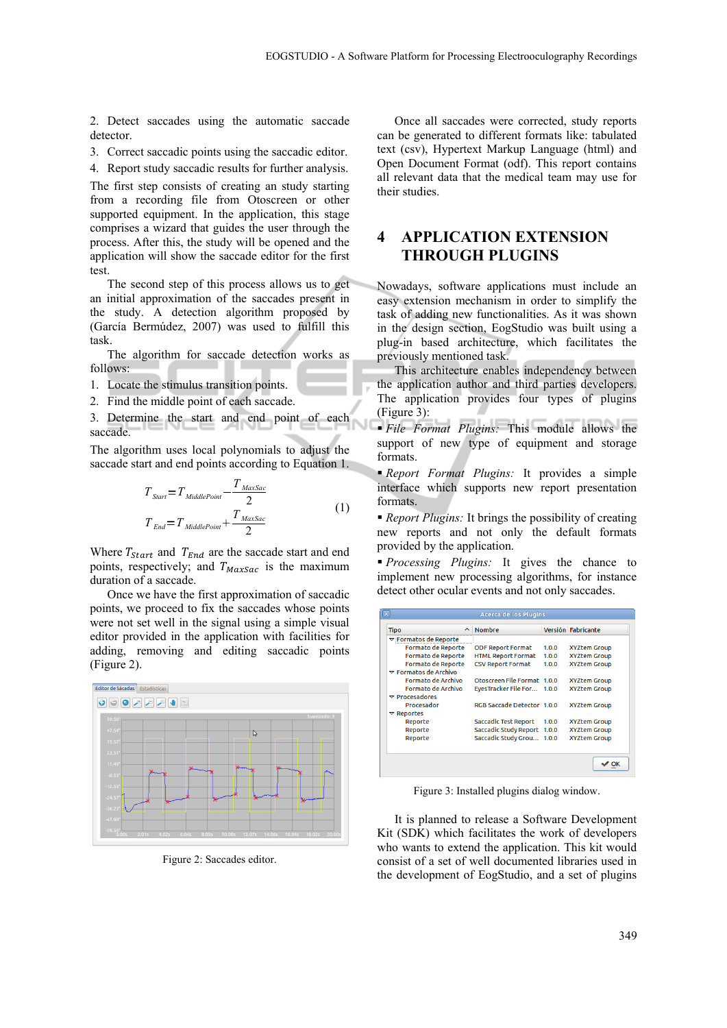2. Detect saccades using the automatic saccade detector.

3. Correct saccadic points using the saccadic editor.

4. Report study saccadic results for further analysis.

The first step consists of creating an study starting from a recording file from Otoscreen or other supported equipment. In the application, this stage comprises a wizard that guides the user through the process. After this, the study will be opened and the application will show the saccade editor for the first test.

The second step of this process allows us to get an initial approximation of the saccades present in the study. A detection algorithm proposed by (García Bermúdez, 2007) was used to fulfill this task.

The algorithm for saccade detection works as follows:

- 1. Locate the stimulus transition points.
- 2. Find the middle point of each saccade.
- 3. Determine the start and end point of each saccade.

The algorithm uses local polynomials to adjust the saccade start and end points according to Equation 1.

$$
T_{\text{Start}} = T_{\text{MiddlePoint}} - \frac{T_{\text{MaxSac}}}{2}
$$
  

$$
T_{\text{End}} = T_{\text{MiddlePoint}} + \frac{T_{\text{MaxSac}}}{2}
$$
 (1)

Where  $T_{start}$  and  $T_{End}$  are the saccade start and end points, respectively; and  $T_{MaxSac}$  is the maximum duration of a saccade.

Once we have the first approximation of saccadic points, we proceed to fix the saccades whose points were not set well in the signal using a simple visual editor provided in the application with facilities for adding, removing and editing saccadic points (Figure 2).



Figure 2: Saccades editor.

Once all saccades were corrected, study reports can be generated to different formats like: tabulated text (csv), Hypertext Markup Language (html) and Open Document Format (odf). This report contains all relevant data that the medical team may use for their studies.

### **4 APPLICATION EXTENSION THROUGH PLUGINS**

Nowadays, software applications must include an easy extension mechanism in order to simplify the task of adding new functionalities. As it was shown in the design section, EogStudio was built using a plug-in based architecture, which facilitates the previously mentioned task.

This architecture enables independency between the application author and third parties developers. The application provides four types of plugins (Figure 3):

 *File Format Plugins:* This module allows the support of new type of equipment and storage formats.

 *Report Format Plugins:* It provides a simple interface which supports new report presentation formats.

 *Report Plugins:* It brings the possibility of creating new reports and not only the default formats provided by the application.

 *Processing Plugins:* It gives the chance to implement new processing algorithms, for instance detect other ocular events and not only saccades.

| <b>Tipo</b>                                               | <b>Nombre</b>                |       | Versión Fabricante  |
|-----------------------------------------------------------|------------------------------|-------|---------------------|
| $\triangledown$ Formatos de Reporte                       |                              |       |                     |
| Formato de Reporte                                        | <b>ODF Report Format</b>     | 1.0.0 | <b>XYZtem Group</b> |
| <b>Formato de Reporte</b>                                 | <b>HTML Report Format</b>    | 1.0.0 | <b>XYZtem Group</b> |
| Formato de Reporte<br>$\triangledown$ Formatos de Archivo | <b>CSV Report Format</b>     | 1.0.0 | <b>XYZtem Group</b> |
| Formato de Archivo                                        | Otoscreen File Format 1.0.0  |       | <b>XYZtem Group</b> |
| Formato de Archivo                                        | EyesTracker File For 1.0.0   |       | <b>XYZtem Group</b> |
| $\nabla$ Procesadores                                     |                              |       |                     |
| Procesador                                                | RGB Saccade Detector 1.0.0   |       | <b>XYZtem Group</b> |
| $\nabla$ Reportes                                         |                              |       |                     |
| Reporte                                                   | <b>Saccadic Test Report</b>  | 1.0.0 | <b>XYZtem Group</b> |
| Reporte                                                   | <b>Saccadic Study Report</b> | 1.0.0 | <b>XYZtem Group</b> |
| Reporte                                                   | Saccadic Study Grou 1.0.0    |       | <b>XYZtem Group</b> |

Figure 3: Installed plugins dialog window.

It is planned to release a Software Development Kit (SDK) which facilitates the work of developers who wants to extend the application. This kit would consist of a set of well documented libraries used in the development of EogStudio, and a set of plugins